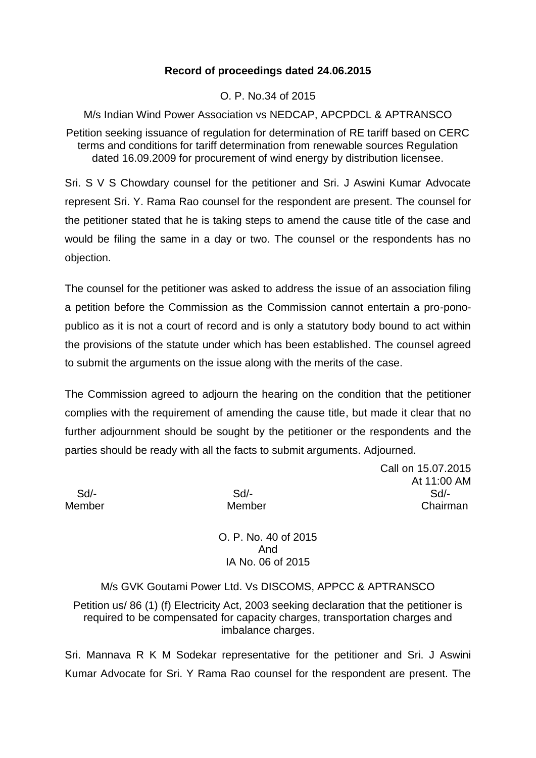### **Record of proceedings dated 24.06.2015**

O. P. No.34 of 2015

M/s Indian Wind Power Association vs NEDCAP, APCPDCL & APTRANSCO

Petition seeking issuance of regulation for determination of RE tariff based on CERC terms and conditions for tariff determination from renewable sources Regulation dated 16.09.2009 for procurement of wind energy by distribution licensee.

Sri. S V S Chowdary counsel for the petitioner and Sri. J Aswini Kumar Advocate represent Sri. Y. Rama Rao counsel for the respondent are present. The counsel for the petitioner stated that he is taking steps to amend the cause title of the case and would be filing the same in a day or two. The counsel or the respondents has no objection.

The counsel for the petitioner was asked to address the issue of an association filing a petition before the Commission as the Commission cannot entertain a pro-ponopublico as it is not a court of record and is only a statutory body bound to act within the provisions of the statute under which has been established. The counsel agreed to submit the arguments on the issue along with the merits of the case.

The Commission agreed to adjourn the hearing on the condition that the petitioner complies with the requirement of amending the cause title, but made it clear that no further adjournment should be sought by the petitioner or the respondents and the parties should be ready with all the facts to submit arguments. Adjourned.

Call on 15.07.2015 At 11:00 AM Sd/- Sd/- Sd/- Member Member Chairman

> O. P. No. 40 of 2015 And IA No. 06 of 2015

M/s GVK Goutami Power Ltd. Vs DISCOMS, APPCC & APTRANSCO

Petition us/ 86 (1) (f) Electricity Act, 2003 seeking declaration that the petitioner is required to be compensated for capacity charges, transportation charges and imbalance charges.

Sri. Mannava R K M Sodekar representative for the petitioner and Sri. J Aswini Kumar Advocate for Sri. Y Rama Rao counsel for the respondent are present. The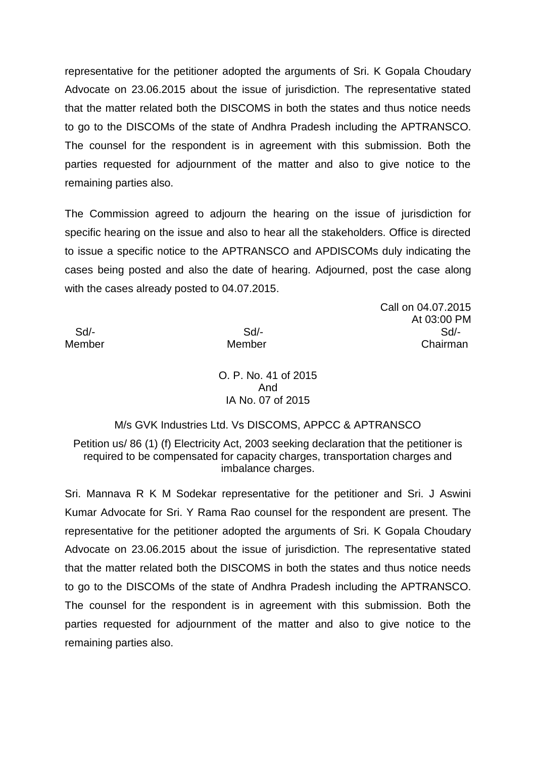representative for the petitioner adopted the arguments of Sri. K Gopala Choudary Advocate on 23.06.2015 about the issue of jurisdiction. The representative stated that the matter related both the DISCOMS in both the states and thus notice needs to go to the DISCOMs of the state of Andhra Pradesh including the APTRANSCO. The counsel for the respondent is in agreement with this submission. Both the parties requested for adjournment of the matter and also to give notice to the remaining parties also.

The Commission agreed to adjourn the hearing on the issue of jurisdiction for specific hearing on the issue and also to hear all the stakeholders. Office is directed to issue a specific notice to the APTRANSCO and APDISCOMs duly indicating the cases being posted and also the date of hearing. Adjourned, post the case along with the cases already posted to 04.07.2015.

Call on 04.07.2015 At 03:00 PM Sd/- Sd/- Sd/- Member Member Chairman

> O. P. No. 41 of 2015 And IA No. 07 of 2015

M/s GVK Industries Ltd. Vs DISCOMS, APPCC & APTRANSCO

Petition us/ 86 (1) (f) Electricity Act, 2003 seeking declaration that the petitioner is required to be compensated for capacity charges, transportation charges and imbalance charges.

Sri. Mannava R K M Sodekar representative for the petitioner and Sri. J Aswini Kumar Advocate for Sri. Y Rama Rao counsel for the respondent are present. The representative for the petitioner adopted the arguments of Sri. K Gopala Choudary Advocate on 23.06.2015 about the issue of jurisdiction. The representative stated that the matter related both the DISCOMS in both the states and thus notice needs to go to the DISCOMs of the state of Andhra Pradesh including the APTRANSCO. The counsel for the respondent is in agreement with this submission. Both the parties requested for adjournment of the matter and also to give notice to the remaining parties also.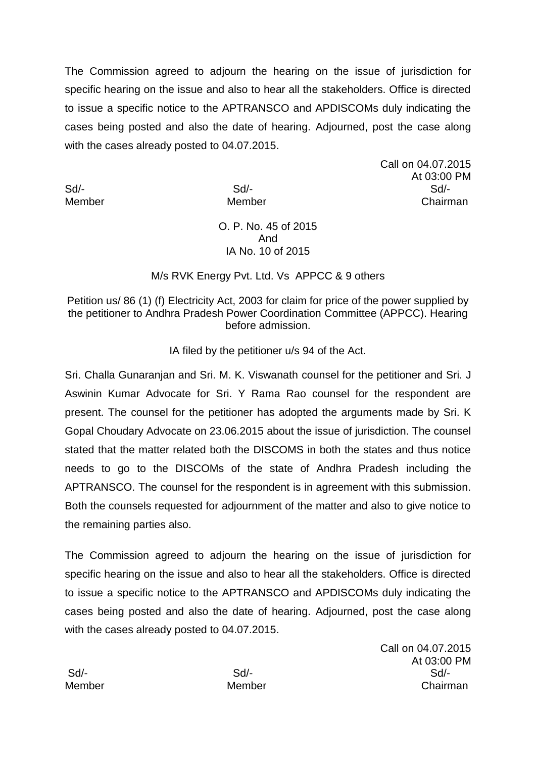The Commission agreed to adjourn the hearing on the issue of jurisdiction for specific hearing on the issue and also to hear all the stakeholders. Office is directed to issue a specific notice to the APTRANSCO and APDISCOMs duly indicating the cases being posted and also the date of hearing. Adjourned, post the case along with the cases already posted to 04.07.2015.

Call on 04.07.2015 At 03:00 PM Sd/- Sd/- Sd/- Member Member Chairman

### O. P. No. 45 of 2015 And IA No. 10 of 2015

### M/s RVK Energy Pvt. Ltd. Vs APPCC & 9 others

Petition us/ 86 (1) (f) Electricity Act, 2003 for claim for price of the power supplied by the petitioner to Andhra Pradesh Power Coordination Committee (APPCC). Hearing before admission.

IA filed by the petitioner u/s 94 of the Act.

Sri. Challa Gunaranjan and Sri. M. K. Viswanath counsel for the petitioner and Sri. J Aswinin Kumar Advocate for Sri. Y Rama Rao counsel for the respondent are present. The counsel for the petitioner has adopted the arguments made by Sri. K Gopal Choudary Advocate on 23.06.2015 about the issue of jurisdiction. The counsel stated that the matter related both the DISCOMS in both the states and thus notice needs to go to the DISCOMs of the state of Andhra Pradesh including the APTRANSCO. The counsel for the respondent is in agreement with this submission. Both the counsels requested for adjournment of the matter and also to give notice to the remaining parties also.

The Commission agreed to adjourn the hearing on the issue of jurisdiction for specific hearing on the issue and also to hear all the stakeholders. Office is directed to issue a specific notice to the APTRANSCO and APDISCOMs duly indicating the cases being posted and also the date of hearing. Adjourned, post the case along with the cases already posted to 04.07.2015.

Call on 04.07.2015 At 03:00 PM Sd/- Sd/- Sd/- Member Member Chairman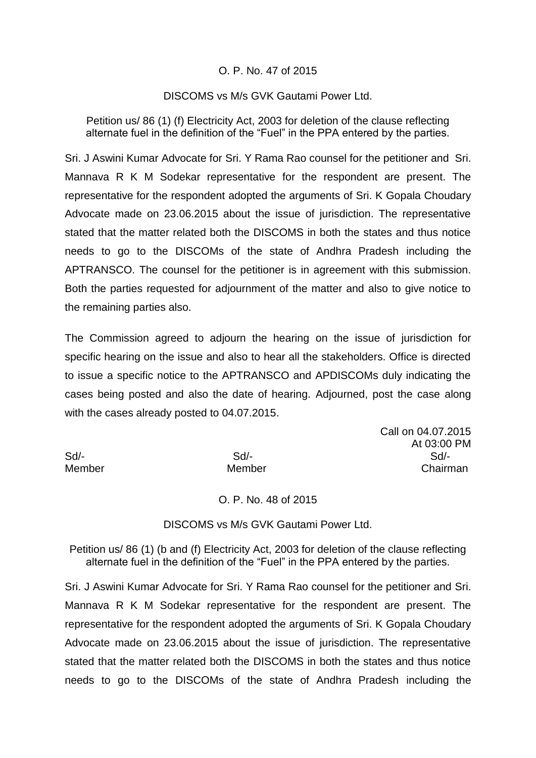### O. P. No. 47 of 2015

#### DISCOMS vs M/s GVK Gautami Power Ltd.

Petition us/ 86 (1) (f) Electricity Act, 2003 for deletion of the clause reflecting alternate fuel in the definition of the "Fuel" in the PPA entered by the parties.

Sri. J Aswini Kumar Advocate for Sri. Y Rama Rao counsel for the petitioner and Sri. Mannava R K M Sodekar representative for the respondent are present. The representative for the respondent adopted the arguments of Sri. K Gopala Choudary Advocate made on 23.06.2015 about the issue of jurisdiction. The representative stated that the matter related both the DISCOMS in both the states and thus notice needs to go to the DISCOMs of the state of Andhra Pradesh including the APTRANSCO. The counsel for the petitioner is in agreement with this submission. Both the parties requested for adjournment of the matter and also to give notice to the remaining parties also.

The Commission agreed to adjourn the hearing on the issue of jurisdiction for specific hearing on the issue and also to hear all the stakeholders. Office is directed to issue a specific notice to the APTRANSCO and APDISCOMs duly indicating the cases being posted and also the date of hearing. Adjourned, post the case along with the cases already posted to 04.07.2015.

Call on 04.07.2015 At 03:00 PM Sd/- Sd/- Sd/- Member Member Chairman

O. P. No. 48 of 2015

DISCOMS vs M/s GVK Gautami Power Ltd.

Petition us/ 86 (1) (b and (f) Electricity Act, 2003 for deletion of the clause reflecting alternate fuel in the definition of the "Fuel" in the PPA entered by the parties.

Sri. J Aswini Kumar Advocate for Sri. Y Rama Rao counsel for the petitioner and Sri. Mannava R K M Sodekar representative for the respondent are present. The representative for the respondent adopted the arguments of Sri. K Gopala Choudary Advocate made on 23.06.2015 about the issue of jurisdiction. The representative stated that the matter related both the DISCOMS in both the states and thus notice needs to go to the DISCOMs of the state of Andhra Pradesh including the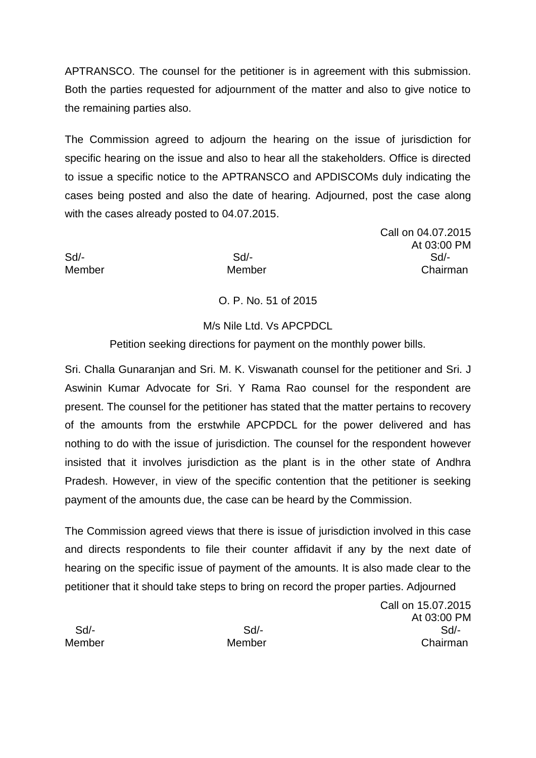APTRANSCO. The counsel for the petitioner is in agreement with this submission. Both the parties requested for adjournment of the matter and also to give notice to the remaining parties also.

The Commission agreed to adjourn the hearing on the issue of jurisdiction for specific hearing on the issue and also to hear all the stakeholders. Office is directed to issue a specific notice to the APTRANSCO and APDISCOMs duly indicating the cases being posted and also the date of hearing. Adjourned, post the case along with the cases already posted to 04.07.2015.

Call on 04.07.2015 At 03:00 PM Sd/- Sd/- Sd/- Member Member Chairman

# O. P. No. 51 of 2015

### M/s Nile Ltd. Vs APCPDCL

Petition seeking directions for payment on the monthly power bills.

Sri. Challa Gunaranjan and Sri. M. K. Viswanath counsel for the petitioner and Sri. J Aswinin Kumar Advocate for Sri. Y Rama Rao counsel for the respondent are present. The counsel for the petitioner has stated that the matter pertains to recovery of the amounts from the erstwhile APCPDCL for the power delivered and has nothing to do with the issue of jurisdiction. The counsel for the respondent however insisted that it involves jurisdiction as the plant is in the other state of Andhra Pradesh. However, in view of the specific contention that the petitioner is seeking payment of the amounts due, the case can be heard by the Commission.

The Commission agreed views that there is issue of jurisdiction involved in this case and directs respondents to file their counter affidavit if any by the next date of hearing on the specific issue of payment of the amounts. It is also made clear to the petitioner that it should take steps to bring on record the proper parties. Adjourned

Call on 15.07.2015 At 03:00 PM Sd/- Sd/- Sd/- Member Member Chairman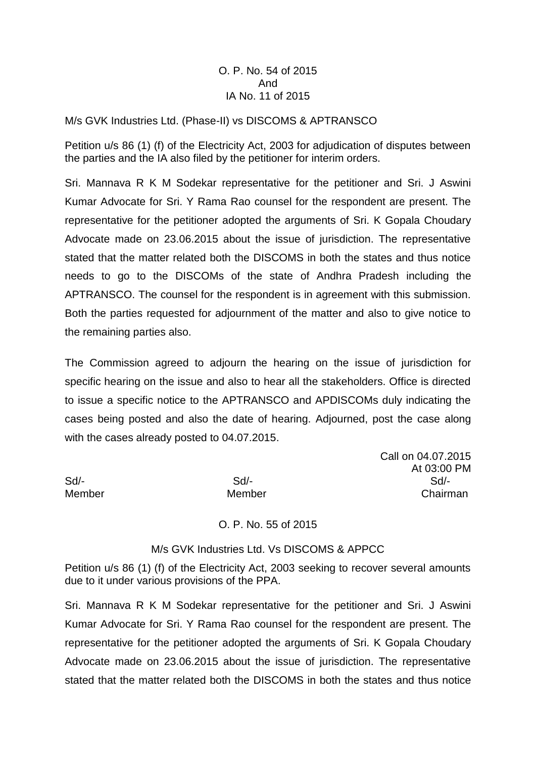### O. P. No. 54 of 2015 And IA No. 11 of 2015

#### M/s GVK Industries Ltd. (Phase-II) vs DISCOMS & APTRANSCO

Petition u/s 86 (1) (f) of the Electricity Act, 2003 for adjudication of disputes between the parties and the IA also filed by the petitioner for interim orders.

Sri. Mannava R K M Sodekar representative for the petitioner and Sri. J Aswini Kumar Advocate for Sri. Y Rama Rao counsel for the respondent are present. The representative for the petitioner adopted the arguments of Sri. K Gopala Choudary Advocate made on 23.06.2015 about the issue of jurisdiction. The representative stated that the matter related both the DISCOMS in both the states and thus notice needs to go to the DISCOMs of the state of Andhra Pradesh including the APTRANSCO. The counsel for the respondent is in agreement with this submission. Both the parties requested for adjournment of the matter and also to give notice to the remaining parties also.

The Commission agreed to adjourn the hearing on the issue of jurisdiction for specific hearing on the issue and also to hear all the stakeholders. Office is directed to issue a specific notice to the APTRANSCO and APDISCOMs duly indicating the cases being posted and also the date of hearing. Adjourned, post the case along with the cases already posted to 04.07.2015.

Call on 04.07.2015 At 03:00 PM Sd/- Sd/- Sd/- Member Member Chairman

O. P. No. 55 of 2015

### M/s GVK Industries Ltd. Vs DISCOMS & APPCC

Petition u/s 86 (1) (f) of the Electricity Act, 2003 seeking to recover several amounts due to it under various provisions of the PPA.

Sri. Mannava R K M Sodekar representative for the petitioner and Sri. J Aswini Kumar Advocate for Sri. Y Rama Rao counsel for the respondent are present. The representative for the petitioner adopted the arguments of Sri. K Gopala Choudary Advocate made on 23.06.2015 about the issue of jurisdiction. The representative stated that the matter related both the DISCOMS in both the states and thus notice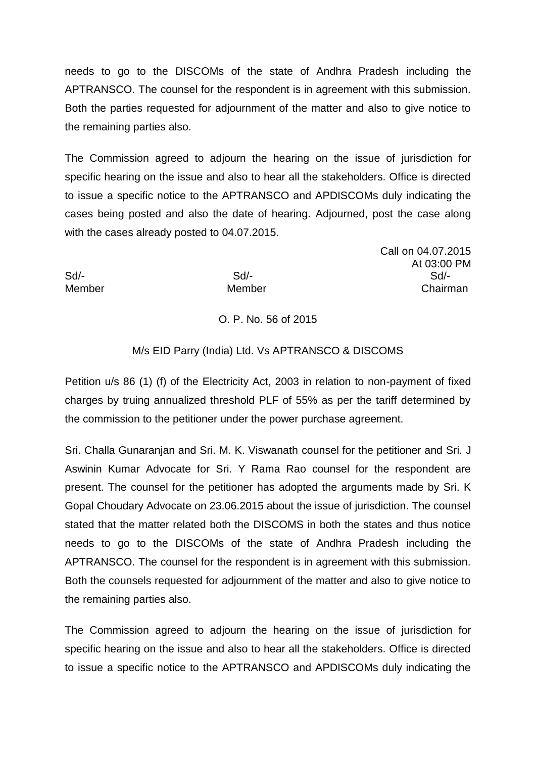needs to go to the DISCOMs of the state of Andhra Pradesh including the APTRANSCO. The counsel for the respondent is in agreement with this submission. Both the parties requested for adjournment of the matter and also to give notice to the remaining parties also.

The Commission agreed to adjourn the hearing on the issue of jurisdiction for specific hearing on the issue and also to hear all the stakeholders. Office is directed to issue a specific notice to the APTRANSCO and APDISCOMs duly indicating the cases being posted and also the date of hearing. Adjourned, post the case along with the cases already posted to 04.07.2015.

Call on 04.07.2015 At 03:00 PM Sd/- Sd/- Sd/- Member Member Chairman

# O. P. No. 56 of 2015

## M/s EID Parry (India) Ltd. Vs APTRANSCO & DISCOMS

Petition u/s 86 (1) (f) of the Electricity Act, 2003 in relation to non-payment of fixed charges by truing annualized threshold PLF of 55% as per the tariff determined by the commission to the petitioner under the power purchase agreement.

Sri. Challa Gunaranjan and Sri. M. K. Viswanath counsel for the petitioner and Sri. J Aswinin Kumar Advocate for Sri. Y Rama Rao counsel for the respondent are present. The counsel for the petitioner has adopted the arguments made by Sri. K Gopal Choudary Advocate on 23.06.2015 about the issue of jurisdiction. The counsel stated that the matter related both the DISCOMS in both the states and thus notice needs to go to the DISCOMs of the state of Andhra Pradesh including the APTRANSCO. The counsel for the respondent is in agreement with this submission. Both the counsels requested for adjournment of the matter and also to give notice to the remaining parties also.

The Commission agreed to adjourn the hearing on the issue of jurisdiction for specific hearing on the issue and also to hear all the stakeholders. Office is directed to issue a specific notice to the APTRANSCO and APDISCOMs duly indicating the